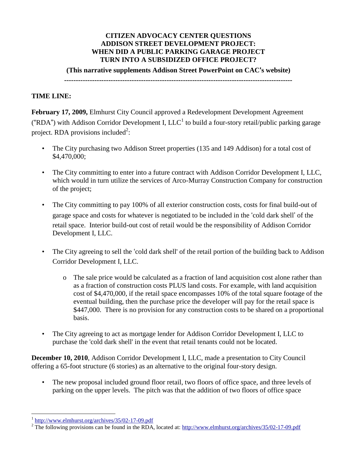#### **CITIZEN ADVOCACY CENTER QUESTIONS ADDISON STREET DEVELOPMENT PROJECT: WHEN DID A PUBLIC PARKING GARAGE PROJECT TURN INTO A SUBSIDIZED OFFICE PROJECT?**

**(This narrative supplements Addison Street PowerPoint on CAC**'**s website)**

**--------------------------------------------------------------------------------------------------**

### **TIME LINE:**

**February 17, 2009,** Elmhurst City Council approved a Redevelopment Development Agreement ("RDA") with Addison Corridor Development I,  $LLC<sup>1</sup>$  to build a four-story retail/public parking garage project. RDA provisions included<sup>2</sup>:

- The City purchasing two Addison Street properties (135 and 149 Addison) for a total cost of \$4,470,000;
- The City committing to enter into a future contract with Addison Corridor Development I, LLC, which would in turn utilize the services of Arco-Murray Construction Company for construction of the project;
- The City committing to pay 100% of all exterior construction costs, costs for final build-out of garage space and costs for whatever is negotiated to be included in the 'cold dark shell' of the retail space. Interior build-out cost of retail would be the responsibility of Addison Corridor Development I, LLC.
- The City agreeing to sell the 'cold dark shell' of the retail portion of the building back to Addison Corridor Development I, LLC.
	- o The sale price would be calculated as a fraction of land acquisition cost alone rather than as a fraction of construction costs PLUS land costs. For example, with land acquisition cost of \$4,470,000, if the retail space encompasses 10% of the total square footage of the eventual building, then the purchase price the developer will pay for the retail space is \$447,000. There is no provision for any construction costs to be shared on a proportional basis.
- The City agreeing to act as mortgage lender for Addison Corridor Development I, LLC to purchase the 'cold dark shell' in the event that retail tenants could not be located.

**December 10, 2010**, Addison Corridor Development I, LLC, made a presentation to City Council offering a 65-foot structure (6 stories) as an alternative to the original four-story design.

• The new proposal included ground floor retail, two floors of office space, and three levels of parking on the upper levels. The pitch was that the addition of two floors of office space

 $\overline{a}$ 

<sup>1</sup> <http://www.elmhurst.org/archives/35/02-17-09.pdf>

<sup>&</sup>lt;sup>2</sup> The following provisions can be found in the RDA, located at:<http://www.elmhurst.org/archives/35/02-17-09.pdf>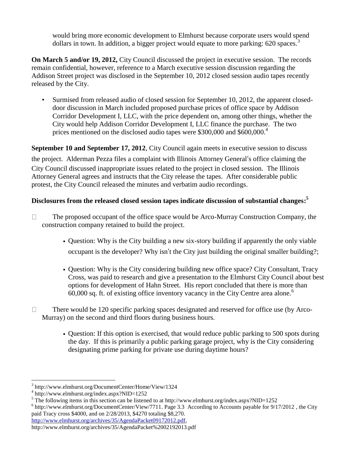would bring more economic development to Elmhurst because corporate users would spend dollars in town. In addition, a bigger project would equate to more parking:  $620$  spaces.<sup>3</sup>

**On March 5 and/or 19, 2012,** City Council discussed the project in executive session. The records remain confidential, however, reference to a March executive session discussion regarding the Addison Street project was disclosed in the September 10, 2012 closed session audio tapes recently released by the City.

• Surmised from released audio of closed session for September 10, 2012, the apparent closeddoor discussion in March included proposed purchase prices of office space by Addison Corridor Development I, LLC, with the price dependent on, among other things, whether the City would help Addison Corridor Development I, LLC finance the purchase. The two prices mentioned on the disclosed audio tapes were \$300,000 and \$600,000.<sup>4</sup>

**September 10 and September 17, 2012**, City Council again meets in executive session to discuss the project. Alderman Pezza files a complaint with Illinois Attorney General's office claiming the City Council discussed inappropriate issues related to the project in closed session. The Illinois Attorney General agrees and instructs that the City release the tapes. After considerable public protest, the City Council released the minutes and verbatim audio recordings.

## **Disclosures from the released closed session tapes indicate discussion of substantial changes: 5**

- $\Box$ The proposed occupant of the office space would be Arco-Murray Construction Company, the construction company retained to build the project.
	- Question: Why is the City building a new six-story building if apparently the only viable occupant is the developer? Why isn't the City just building the original smaller building?;
	- Question: Why is the City considering building new office space? City Consultant, Tracy Cross, was paid to research and give a presentation to the Elmhurst City Council about best options for development of Hahn Street. His report concluded that there is more than  $60,000$  sq. ft. of existing office inventory vacancy in the City Centre area alone.<sup>6</sup>
- There would be 120 specific parking spaces designated and reserved for office use (by Arco- $\Box$ Murray) on the second and third floors during business hours.
	- Question: If this option is exercised, that would reduce public parking to 500 spots during the day. If this is primarily a public parking garage project, why is the City considering designating prime parking for private use during daytime hours?

 $\overline{a}$ 

<sup>3</sup> http://www.elmhurst.org/DocumentCenter/Home/View/1324

<sup>4</sup> http://www.elmhurst.org/index.aspx?NID=1252

<sup>5</sup> The following items in this section can be listened to at http://www.elmhurst.org/index.aspx?NID=1252

<sup>&</sup>lt;sup>6</sup> [http://www.elmhurst.org/DocumentCenter/View/7711.](http://www.elmhurst.org/documentcenter/view/7711) Page 3.3 According to Accounts payable for 9/17/2012, the City paid Tracy cross \$4000, and on 2/28/2013, \$4270 totaling \$8,270.

[http://www.elmhurst.org/archives/35/AgendaPacket09172012.pdf,](http://www.elmhurst.org/archives/35/AgendaPacket09172012.pdf)

http://www.elmhurst.org/archives/35/AgendaPacket%2002192013.pdf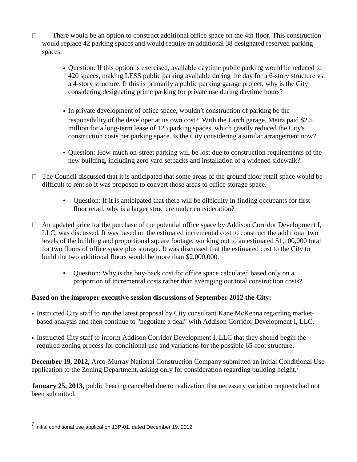- $\Box$ There would be an option to construct additional office space on the 4th floor. This construction would replace 42 parking spaces and would require an additional 38 designated reserved parking spaces.
	- Question: If this option is exercised, available daytime public parking would be reduced to 420 spaces, making LESS public parking available during the day for a 6-story structure vs. a 4-story structure. If this is primarily a public parking garage project, why is the City considering designating prime parking for private use during daytime hours?
	- In private development of office space, wouldn't construction of parking be the responsibility of the developer at its own cost? With the Larch garage, Metra paid \$2.5 million for a long-term lease of 125 parking spaces, which greatly reduced the City's construction costs per parking space. Is the City considering a similar arrangement now?
	- Question: How much on-street parking will be lost due to construction requirements of the new building, including zero yard setbacks and installation of a widened sidewalk?
- $\Box$  The Council discussed that it is anticipated that some areas of the ground floor retail space would be difficult to rent so it was proposed to convert those areas to office storage space.
	- Question: If it is anticipated that there will be difficulty in finding occupants for first floor retail, why is a larger structure under consideration?
- $\Box$  An updated price for the purchase of the potential office space by Addison Corridor Development I, LLC, was discussed. It was based on the estimated incremental cost to construct the additional two levels of the building and proportional square footage, working out to an estimated \$1,100,000 total for two floors of office space plus storage. It was discussed that the estimated cost to the City to build the two additional floors would be more than \$2,000,000.
	- Question: Why is the buy-back cost for office space calculated based only on a proportion of incremental costs rather than averaging out total construction costs?

#### **Based on the improper executive session discussions of September 2012 the City:**

- Instructed City staff to run the latest proposal by City consultant Kane McKenna regarding marketbased analysis and then continue to "negotiate a deal" with Addison Corridor Development I, LLC.
- Instructed City staff to inform Addison Corridor Development I, LLC that they should begin the required zoning process for conditional use and variations for the possible 65-foot structure.

**December 19, 2012,** Arco-Murray National Construction Company submitted an initial Conditional Use application to the Zoning Department, asking only for consideration regarding building height.<sup>7</sup>

**January 25, 2013,** public hearing cancelled due to realization that necessary variation requests had not been submitted.

 7 initial conditional use application 13P-01, dated December 19, 2012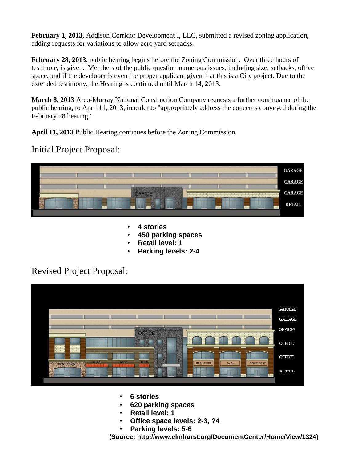**February 1, 2013,** Addison Corridor Development I, LLC, submitted a revised zoning application, adding requests for variations to allow zero yard setbacks.

**February 28, 2013**, public hearing begins before the Zoning Commission. Over three hours of testimony is given. Members of the public question numerous issues, including size, setbacks, office space, and if the developer is even the proper applicant given that this is a City project. Due to the extended testimony, the Hearing is continued until March 14, 2013.

**March 8, 2013** Arco-Murray National Construction Company requests a further continuance of the public hearing, to April 11, 2013, in order to "appropriately address the concerns conveyed during the February 28 hearing."

**April 11, 2013** Public Hearing continues before the Zoning Commission.

## Initial Project Proposal:



- **4 stories**
- **450 parking spaces**
- **Retail level: 1**
- **Parking levels: 2-4**

# Revised Project Proposal:



- **6 stories**
- **620 parking spaces**
- **Retail level: 1**
- **Office space levels: 2-3, ?4**
- **Parking levels: 5-6**

**(Source: http://www.elmhurst.org/DocumentCenter/Home/View/1324)**